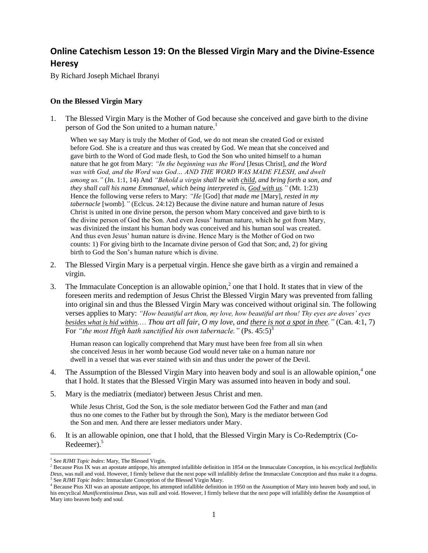## **Online Catechism Lesson 19: On the Blessed Virgin Mary and the Divine-Essence Heresy**

By Richard Joseph Michael Ibranyi

## **On the Blessed Virgin Mary**

1. The Blessed Virgin Mary is the Mother of God because she conceived and gave birth to the divine person of God the Son united to a human nature.<sup>1</sup>

When we say Mary is truly the Mother of God, we do not mean she created God or existed before God. She is a creature and thus was created by God. We mean that she conceived and gave birth to the Word of God made flesh, to God the Son who united himself to a human nature that he got from Mary: *"In the beginning was the Word* [Jesus Christ]*, and the Word was with God, and the Word was God… AND THE WORD WAS MADE FLESH, and dwelt among us."* (Jn. 1:1, 14) And *"Behold a virgin shall be with child, and bring forth a son, and they shall call his name Emmanuel, which being interpreted is, God with us."* (Mt. 1:23) Hence the following verse refers to Mary: *"He* [God] *that made me* [Mary]*, rested in my tabernacle* [womb]*."* (Eclcus. 24:12) Because the divine nature and human nature of Jesus Christ is united in one divine person, the person whom Mary conceived and gave birth to is the divine person of God the Son. And even Jesus' human nature, which he got from Mary, was divinized the instant his human body was conceived and his human soul was created. And thus even Jesus' human nature is divine. Hence Mary is the Mother of God on two counts: 1) For giving birth to the Incarnate divine person of God that Son; and, 2) for giving birth to God the Son's human nature which is divine.

- 2. The Blessed Virgin Mary is a perpetual virgin. Hence she gave birth as a virgin and remained a virgin.
- 3. The Immaculate Conception is an allowable opinion,<sup>2</sup> one that I hold. It states that in view of the foreseen merits and redemption of Jesus Christ the Blessed Virgin Mary was prevented from falling into original sin and thus the Blessed Virgin Mary was conceived without original sin. The following verses applies to Mary: *"How beautiful art thou, my love, how beautiful art thou! Thy eyes are doves' eyes besides what is hid within.*… *Thou art all fair, O my love, and there is not a spot in thee."* (Can. 4:1, 7) For *"the most High hath sanctified his own tabernacle."* (Ps. 45:5)<sup>3</sup>

Human reason can logically comprehend that Mary must have been free from all sin when she conceived Jesus in her womb because God would never take on a human nature nor dwell in a vessel that was ever stained with sin and thus under the power of the Devil.

- 4. The Assumption of the Blessed Virgin Mary into heaven body and soul is an allowable opinion,  $4 \text{ one}$ that I hold. It states that the Blessed Virgin Mary was assumed into heaven in body and soul.
- 5. Mary is the mediatrix (mediator) between Jesus Christ and men.

While Jesus Christ, God the Son, is the sole mediator between God the Father and man (and thus no one comes to the Father but by through the Son), Mary is the mediator between God the Son and men. And there are lesser mediators under Mary.

6. It is an allowable opinion, one that I hold, that the Blessed Virgin Mary is Co-Redemptrix (Co-Redeemer).<sup>5</sup>

<sup>&</sup>lt;sup>1</sup> See *RJMI Topic Index*: Mary, The Blessed Virgin.

<sup>2</sup> Because Pius IX was an apostate antipope, his attempted infallible definition in 1854 on the Immaculate Conception, in his encyclical *Ineffabilis Deus*, was null and void. However, I firmly believe that the next pope will infallibly define the Immaculate Conception and thus make it a dogma. <sup>3</sup> See *RJMI Topic Index*: Immaculate Conception of the Blessed Virgin Mary.

<sup>&</sup>lt;sup>4</sup> Because Pius XII was an apostate antipope, his attempted infallible definition in 1950 on the Assumption of Mary into heaven body and soul, in his encyclical *Munificentissimus Deus*, was null and void. However, I firmly believe that the next pope will infallibly define the Assumption of Mary into heaven body and soul.